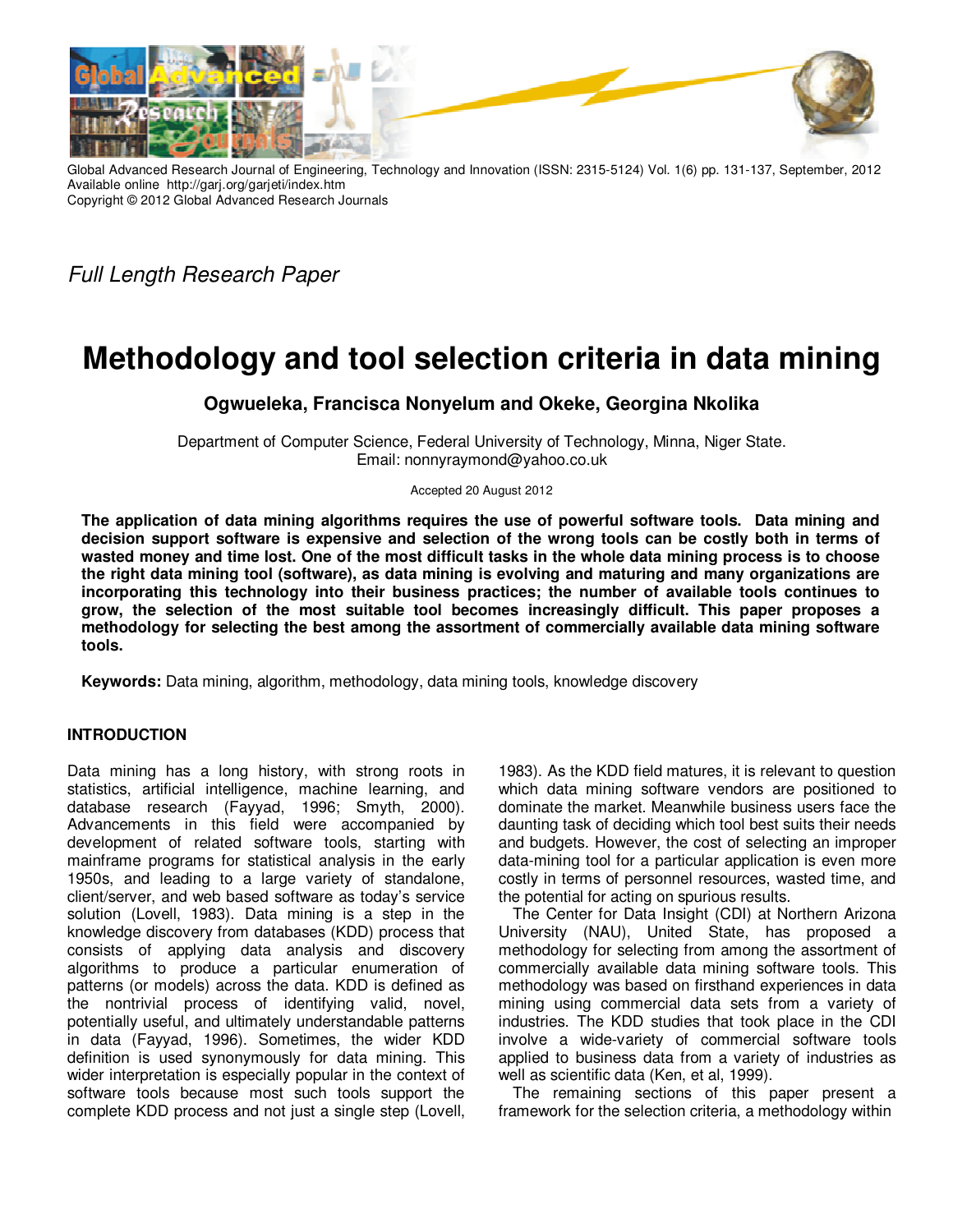

Global Advanced Research Journal of Engineering, Technology and Innovation (ISSN: 2315-5124) Vol. 1(6) pp. 131-137, September, 2012 Available online http://garj.org/garjeti/index.htm Copyright © 2012 Global Advanced Research Journals

Full Length Research Paper

# **Methodology and tool selection criteria in data mining**

**Ogwueleka, Francisca Nonyelum and Okeke, Georgina Nkolika** 

Department of Computer Science, Federal University of Technology, Minna, Niger State. Email: nonnyraymond@yahoo.co.uk

Accepted 20 August 2012

**The application of data mining algorithms requires the use of powerful software tools. Data mining and decision support software is expensive and selection of the wrong tools can be costly both in terms of wasted money and time lost. One of the most difficult tasks in the whole data mining process is to choose the right data mining tool (software), as data mining is evolving and maturing and many organizations are incorporating this technology into their business practices; the number of available tools continues to grow, the selection of the most suitable tool becomes increasingly difficult. This paper proposes a methodology for selecting the best among the assortment of commercially available data mining software tools.** 

**Keywords:** Data mining, algorithm, methodology, data mining tools, knowledge discovery

# **INTRODUCTION**

Data mining has a long history, with strong roots in statistics, artificial intelligence, machine learning, and database research (Fayyad, 1996; Smyth, 2000). Advancements in this field were accompanied by development of related software tools, starting with mainframe programs for statistical analysis in the early 1950s, and leading to a large variety of standalone, client/server, and web based software as today's service solution (Lovell, 1983). Data mining is a step in the knowledge discovery from databases (KDD) process that consists of applying data analysis and discovery algorithms to produce a particular enumeration of patterns (or models) across the data. KDD is defined as the nontrivial process of identifying valid, novel, potentially useful, and ultimately understandable patterns in data (Fayyad, 1996). Sometimes, the wider KDD definition is used synonymously for data mining. This wider interpretation is especially popular in the context of software tools because most such tools support the complete KDD process and not just a single step (Lovell,

1983). As the KDD field matures, it is relevant to question which data mining software vendors are positioned to dominate the market. Meanwhile business users face the daunting task of deciding which tool best suits their needs and budgets. However, the cost of selecting an improper data-mining tool for a particular application is even more costly in terms of personnel resources, wasted time, and the potential for acting on spurious results.

The Center for Data Insight (CDI) at Northern Arizona University (NAU), United State, has proposed a methodology for selecting from among the assortment of commercially available data mining software tools. This methodology was based on firsthand experiences in data mining using commercial data sets from a variety of industries. The KDD studies that took place in the CDI involve a wide-variety of commercial software tools applied to business data from a variety of industries as well as scientific data (Ken, et al, 1999).

The remaining sections of this paper present a framework for the selection criteria, a methodology within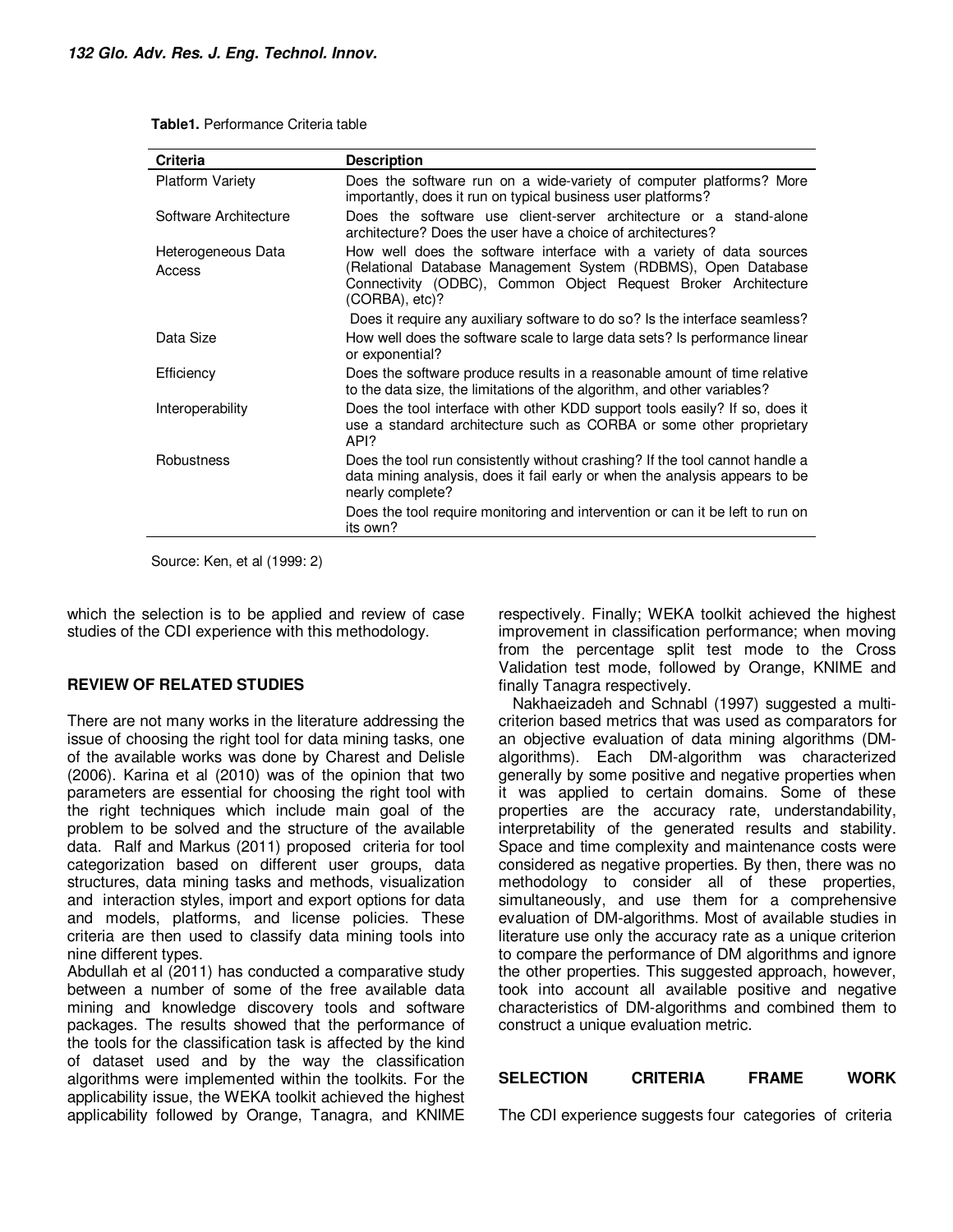**Table1.** Performance Criteria table

| Criteria                     | <b>Description</b>                                                                                                                                                                                                       |
|------------------------------|--------------------------------------------------------------------------------------------------------------------------------------------------------------------------------------------------------------------------|
| <b>Platform Variety</b>      | Does the software run on a wide-variety of computer platforms? More<br>importantly, does it run on typical business user platforms?                                                                                      |
| Software Architecture        | Does the software use client-server architecture or a stand-alone<br>architecture? Does the user have a choice of architectures?                                                                                         |
| Heterogeneous Data<br>Access | How well does the software interface with a variety of data sources<br>(Relational Database Management System (RDBMS), Open Database<br>Connectivity (ODBC), Common Object Request Broker Architecture<br>(CORBA), etc)? |
|                              | Does it require any auxiliary software to do so? Is the interface seamless?                                                                                                                                              |
| Data Size                    | How well does the software scale to large data sets? Is performance linear<br>or exponential?                                                                                                                            |
| Efficiency                   | Does the software produce results in a reasonable amount of time relative<br>to the data size, the limitations of the algorithm, and other variables?                                                                    |
| Interoperability             | Does the tool interface with other KDD support tools easily? If so, does it<br>use a standard architecture such as CORBA or some other proprietary<br>API?                                                               |
| Robustness                   | Does the tool run consistently without crashing? If the tool cannot handle a<br>data mining analysis, does it fail early or when the analysis appears to be<br>nearly complete?                                          |
|                              | Does the tool require monitoring and intervention or can it be left to run on<br>its own?                                                                                                                                |

Source: Ken, et al (1999: 2)

which the selection is to be applied and review of case studies of the CDI experience with this methodology.

## **REVIEW OF RELATED STUDIES**

There are not many works in the literature addressing the issue of choosing the right tool for data mining tasks, one of the available works was done by Charest and Delisle (2006). Karina et al (2010) was of the opinion that two parameters are essential for choosing the right tool with the right techniques which include main goal of the problem to be solved and the structure of the available data. Ralf and Markus (2011) proposed criteria for tool categorization based on different user groups, data structures, data mining tasks and methods, visualization and interaction styles, import and export options for data and models, platforms, and license policies. These criteria are then used to classify data mining tools into nine different types.

Abdullah et al (2011) has conducted a comparative study between a number of some of the free available data mining and knowledge discovery tools and software packages. The results showed that the performance of the tools for the classification task is affected by the kind of dataset used and by the way the classification algorithms were implemented within the toolkits. For the applicability issue, the WEKA toolkit achieved the highest applicability followed by Orange, Tanagra, and KNIME respectively. Finally; WEKA toolkit achieved the highest improvement in classification performance; when moving from the percentage split test mode to the Cross Validation test mode, followed by Orange, KNIME and finally Tanagra respectively.

Nakhaeizadeh and Schnabl (1997) suggested a multicriterion based metrics that was used as comparators for an objective evaluation of data mining algorithms (DMalgorithms). Each DM-algorithm was characterized generally by some positive and negative properties when it was applied to certain domains. Some of these properties are the accuracy rate, understandability, interpretability of the generated results and stability. Space and time complexity and maintenance costs were considered as negative properties. By then, there was no methodology to consider all of these properties, simultaneously, and use them for a comprehensive evaluation of DM-algorithms. Most of available studies in literature use only the accuracy rate as a unique criterion to compare the performance of DM algorithms and ignore the other properties. This suggested approach, however, took into account all available positive and negative characteristics of DM-algorithms and combined them to construct a unique evaluation metric.

## **SELECTION CRITERIA FRAME WORK**

The CDI experience suggests four categories of criteria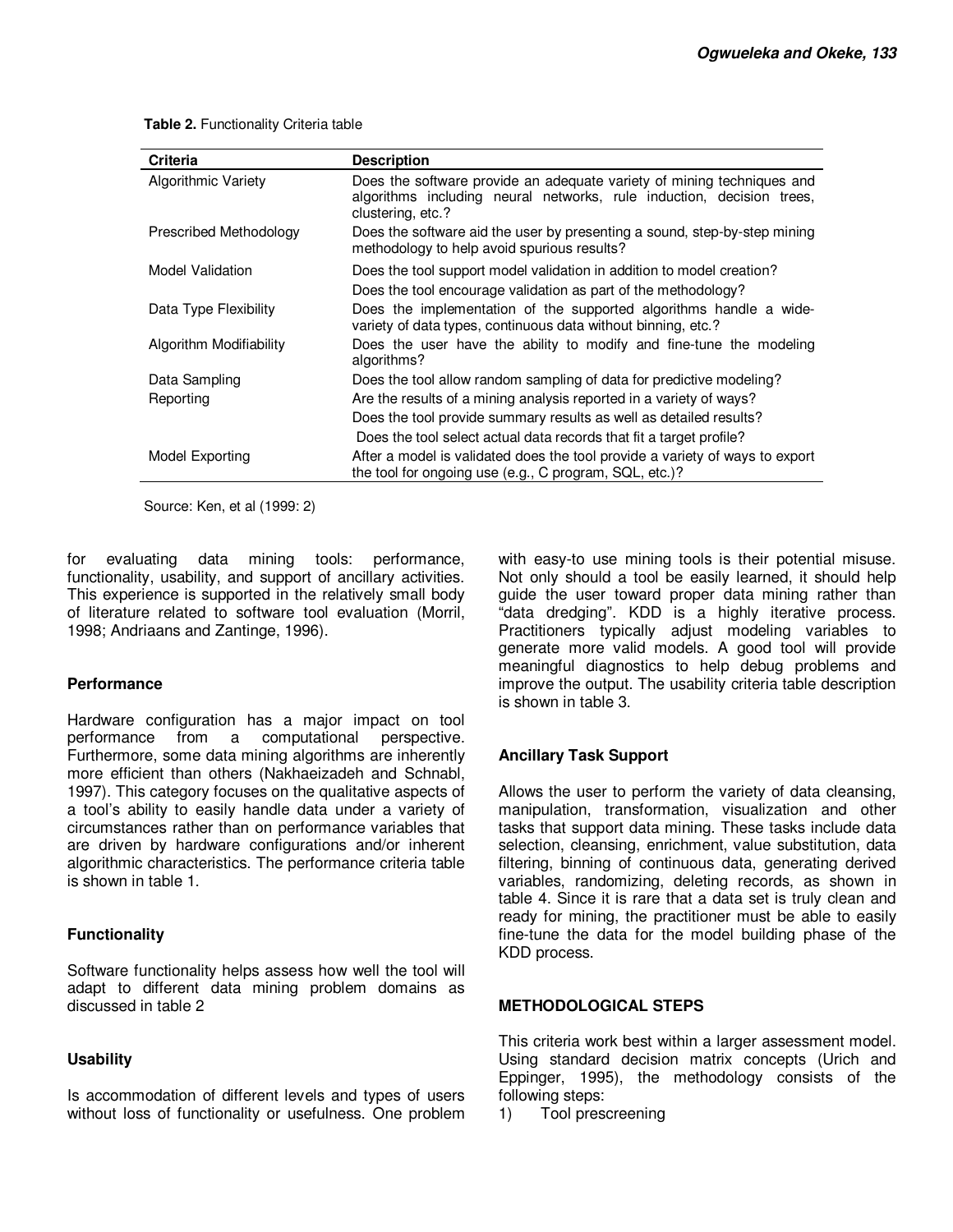**Table 2.** Functionality Criteria table

| <b>Criteria</b>         | <b>Description</b>                                                                                                                                                   |
|-------------------------|----------------------------------------------------------------------------------------------------------------------------------------------------------------------|
| Algorithmic Variety     | Does the software provide an adequate variety of mining techniques and<br>algorithms including neural networks, rule induction, decision trees,<br>clustering, etc.? |
| Prescribed Methodology  | Does the software aid the user by presenting a sound, step-by-step mining<br>methodology to help avoid spurious results?                                             |
| Model Validation        | Does the tool support model validation in addition to model creation?<br>Does the tool encourage validation as part of the methodology?                              |
| Data Type Flexibility   | Does the implementation of the supported algorithms handle a wide-<br>variety of data types, continuous data without binning, etc.?                                  |
| Algorithm Modifiability | Does the user have the ability to modify and fine-tune the modeling<br>algorithms?                                                                                   |
| Data Sampling           | Does the tool allow random sampling of data for predictive modeling?                                                                                                 |
| Reporting               | Are the results of a mining analysis reported in a variety of ways?                                                                                                  |
|                         | Does the tool provide summary results as well as detailed results?                                                                                                   |
|                         | Does the tool select actual data records that fit a target profile?                                                                                                  |
| Model Exporting         | After a model is validated does the tool provide a variety of ways to export<br>the tool for ongoing use (e.g., C program, SQL, etc.)?                               |

Source: Ken, et al (1999: 2)

for evaluating data mining tools: performance, functionality, usability, and support of ancillary activities. This experience is supported in the relatively small body of literature related to software tool evaluation (Morril, 1998; Andriaans and Zantinge, 1996).

#### **Performance**

Hardware configuration has a major impact on tool performance from a computational perspective. Furthermore, some data mining algorithms are inherently more efficient than others (Nakhaeizadeh and Schnabl, 1997). This category focuses on the qualitative aspects of a tool's ability to easily handle data under a variety of circumstances rather than on performance variables that are driven by hardware configurations and/or inherent algorithmic characteristics. The performance criteria table is shown in table 1.

#### **Functionality**

Software functionality helps assess how well the tool will adapt to different data mining problem domains as discussed in table 2

#### **Usability**

Is accommodation of different levels and types of users without loss of functionality or usefulness. One problem with easy-to use mining tools is their potential misuse. Not only should a tool be easily learned, it should help guide the user toward proper data mining rather than "data dredging". KDD is a highly iterative process. Practitioners typically adjust modeling variables to generate more valid models. A good tool will provide meaningful diagnostics to help debug problems and improve the output. The usability criteria table description is shown in table 3.

## **Ancillary Task Support**

Allows the user to perform the variety of data cleansing, manipulation, transformation, visualization and other tasks that support data mining. These tasks include data selection, cleansing, enrichment, value substitution, data filtering, binning of continuous data, generating derived variables, randomizing, deleting records, as shown in table 4. Since it is rare that a data set is truly clean and ready for mining, the practitioner must be able to easily fine-tune the data for the model building phase of the KDD process.

#### **METHODOLOGICAL STEPS**

This criteria work best within a larger assessment model. Using standard decision matrix concepts (Urich and Eppinger, 1995), the methodology consists of the following steps:

1) Tool prescreening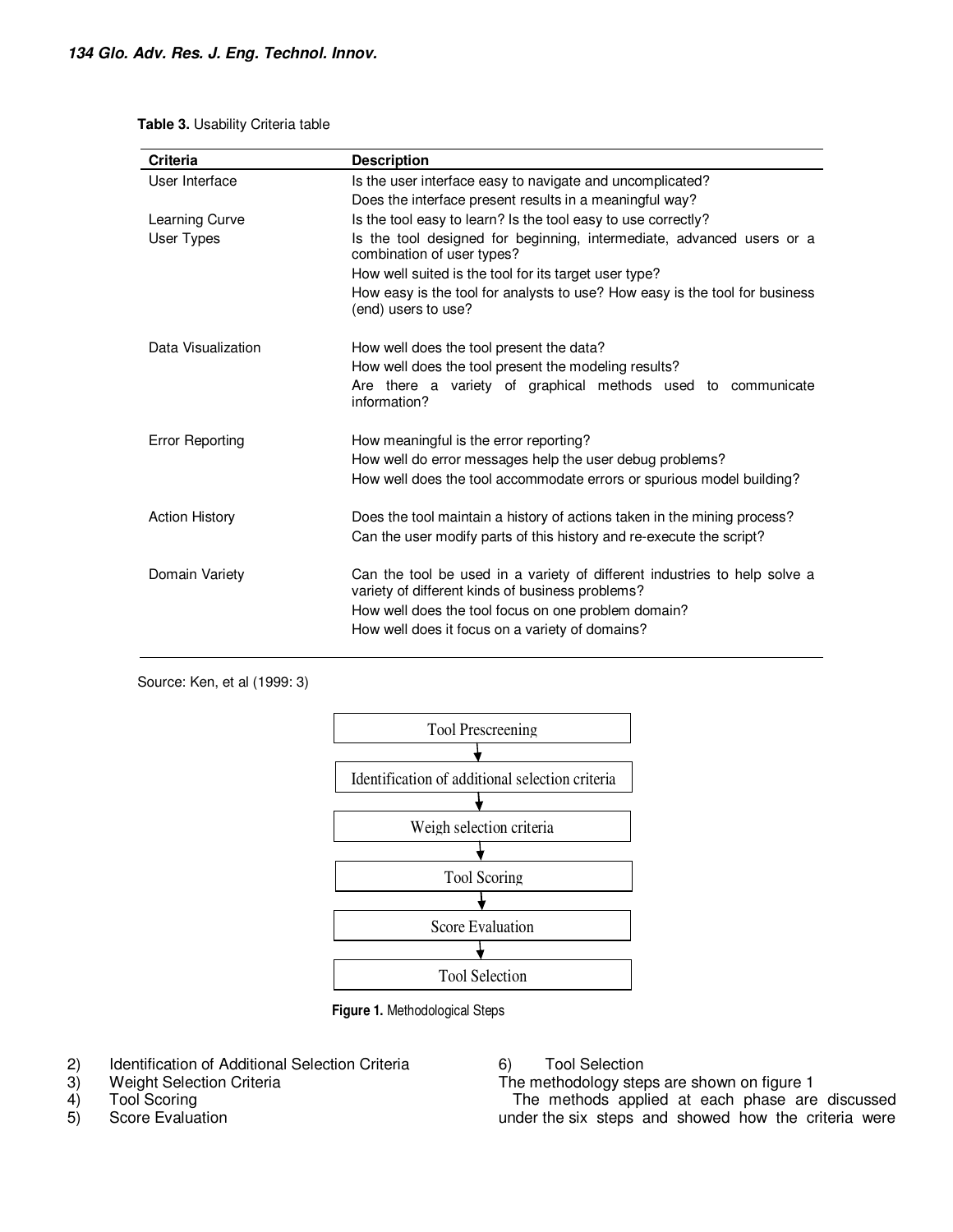#### **Table 3.** Usability Criteria table

| <b>Criteria</b>        | <b>Description</b>                                                                                                                                                                                                                      |  |  |  |  |
|------------------------|-----------------------------------------------------------------------------------------------------------------------------------------------------------------------------------------------------------------------------------------|--|--|--|--|
| User Interface         | Is the user interface easy to navigate and uncomplicated?                                                                                                                                                                               |  |  |  |  |
|                        | Does the interface present results in a meaningful way?                                                                                                                                                                                 |  |  |  |  |
| Learning Curve         | Is the tool easy to learn? Is the tool easy to use correctly?                                                                                                                                                                           |  |  |  |  |
| User Types             | Is the tool designed for beginning, intermediate, advanced users or a<br>combination of user types?                                                                                                                                     |  |  |  |  |
|                        | How well suited is the tool for its target user type?                                                                                                                                                                                   |  |  |  |  |
|                        | How easy is the tool for analysts to use? How easy is the tool for business<br>(end) users to use?                                                                                                                                      |  |  |  |  |
| Data Visualization     | How well does the tool present the data?<br>How well does the tool present the modeling results?<br>Are there a variety of graphical methods used to communicate<br>information?                                                        |  |  |  |  |
| <b>Error Reporting</b> | How meaningful is the error reporting?<br>How well do error messages help the user debug problems?<br>How well does the tool accommodate errors or spurious model building?                                                             |  |  |  |  |
| <b>Action History</b>  | Does the tool maintain a history of actions taken in the mining process?<br>Can the user modify parts of this history and re-execute the script?                                                                                        |  |  |  |  |
| Domain Variety         | Can the tool be used in a variety of different industries to help solve a<br>variety of different kinds of business problems?<br>How well does the tool focus on one problem domain?<br>How well does it focus on a variety of domains? |  |  |  |  |





**Figure 1.** Methodological Steps

- 2) Identification of Additional Selection Criteria<br>3) Weight Selection Criteria
- Weight Selection Criteria
- 4) Tool Scoring
- 5) Score Evaluation

6) Tool Selection

The methodology steps are shown on figure 1

The methods applied at each phase are discussed under the six steps and showed how the criteria were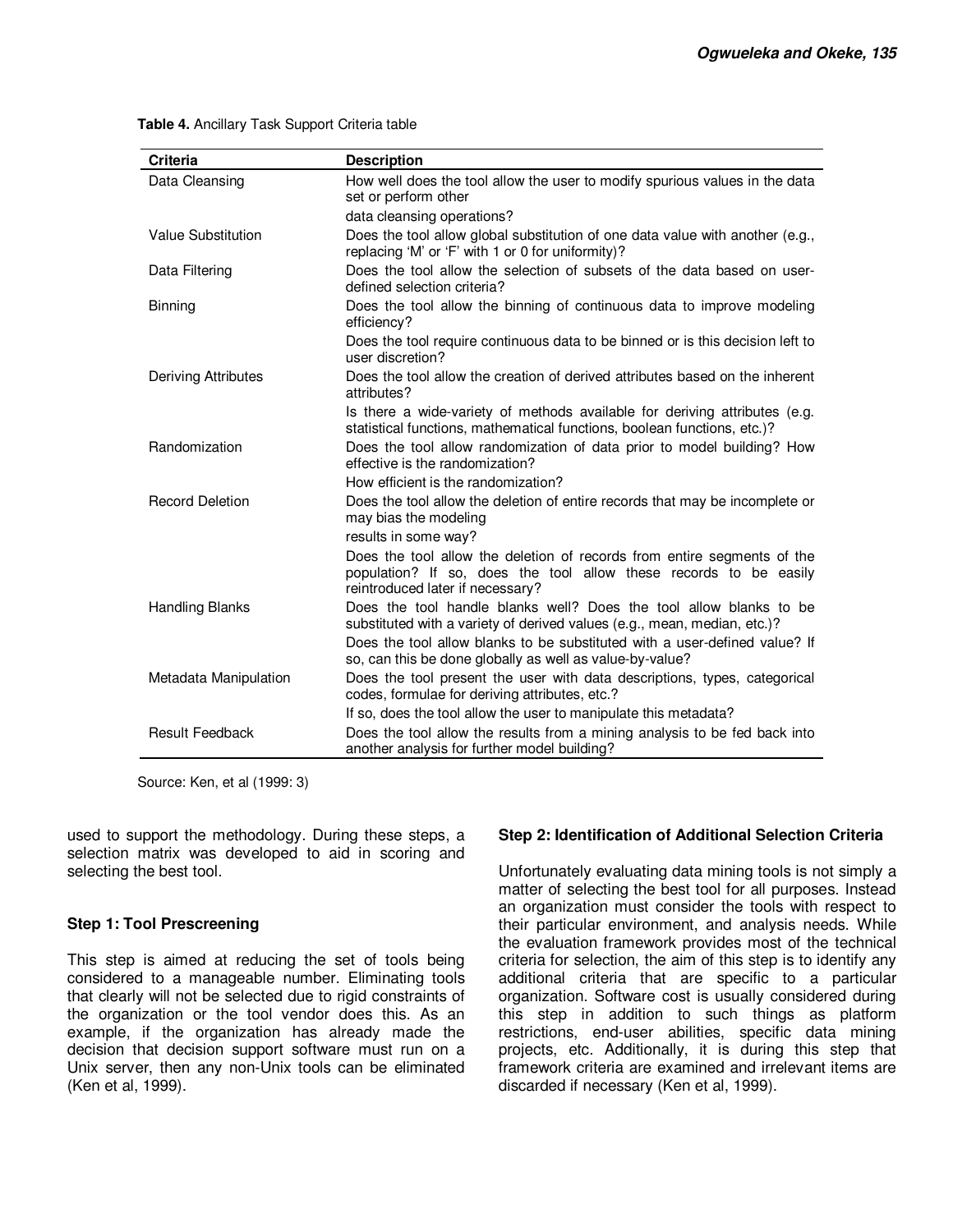| <b>Criteria</b>        | <b>Description</b>                                                                                                                                                               |  |  |  |  |
|------------------------|----------------------------------------------------------------------------------------------------------------------------------------------------------------------------------|--|--|--|--|
| Data Cleansing         | How well does the tool allow the user to modify spurious values in the data<br>set or perform other                                                                              |  |  |  |  |
|                        | data cleansing operations?                                                                                                                                                       |  |  |  |  |
| Value Substitution     | Does the tool allow global substitution of one data value with another (e.g.,<br>replacing 'M' or 'F' with 1 or 0 for uniformity)?                                               |  |  |  |  |
| Data Filtering         | Does the tool allow the selection of subsets of the data based on user-<br>defined selection criteria?                                                                           |  |  |  |  |
| <b>Binning</b>         | Does the tool allow the binning of continuous data to improve modeling<br>efficiency?                                                                                            |  |  |  |  |
|                        | Does the tool require continuous data to be binned or is this decision left to<br>user discretion?                                                                               |  |  |  |  |
| Deriving Attributes    | Does the tool allow the creation of derived attributes based on the inherent<br>attributes?                                                                                      |  |  |  |  |
|                        | Is there a wide-variety of methods available for deriving attributes (e.g.<br>statistical functions, mathematical functions, boolean functions, etc.)?                           |  |  |  |  |
| Randomization          | Does the tool allow randomization of data prior to model building? How<br>effective is the randomization?                                                                        |  |  |  |  |
|                        | How efficient is the randomization?                                                                                                                                              |  |  |  |  |
| <b>Record Deletion</b> | Does the tool allow the deletion of entire records that may be incomplete or<br>may bias the modeling                                                                            |  |  |  |  |
|                        | results in some way?                                                                                                                                                             |  |  |  |  |
|                        | Does the tool allow the deletion of records from entire segments of the<br>population? If so, does the tool allow these records to be easily<br>reintroduced later if necessary? |  |  |  |  |
| <b>Handling Blanks</b> | Does the tool handle blanks well? Does the tool allow blanks to be<br>substituted with a variety of derived values (e.g., mean, median, etc.)?                                   |  |  |  |  |
|                        | Does the tool allow blanks to be substituted with a user-defined value? If<br>so, can this be done globally as well as value-by-value?                                           |  |  |  |  |
| Metadata Manipulation  | Does the tool present the user with data descriptions, types, categorical<br>codes, formulae for deriving attributes, etc.?                                                      |  |  |  |  |
|                        | If so, does the tool allow the user to manipulate this metadata?                                                                                                                 |  |  |  |  |
| <b>Result Feedback</b> | Does the tool allow the results from a mining analysis to be fed back into<br>another analysis for further model building?                                                       |  |  |  |  |

**Table 4.** Ancillary Task Support Criteria table

Source: Ken, et al (1999: 3)

used to support the methodology. During these steps, a selection matrix was developed to aid in scoring and selecting the best tool.

## **Step 1: Tool Prescreening**

This step is aimed at reducing the set of tools being considered to a manageable number. Eliminating tools that clearly will not be selected due to rigid constraints of the organization or the tool vendor does this. As an example, if the organization has already made the decision that decision support software must run on a Unix server, then any non-Unix tools can be eliminated (Ken et al, 1999).

# **Step 2: Identification of Additional Selection Criteria**

Unfortunately evaluating data mining tools is not simply a matter of selecting the best tool for all purposes. Instead an organization must consider the tools with respect to their particular environment, and analysis needs. While the evaluation framework provides most of the technical criteria for selection, the aim of this step is to identify any additional criteria that are specific to a particular organization. Software cost is usually considered during this step in addition to such things as platform restrictions, end-user abilities, specific data mining projects, etc. Additionally, it is during this step that framework criteria are examined and irrelevant items are discarded if necessary (Ken et al, 1999).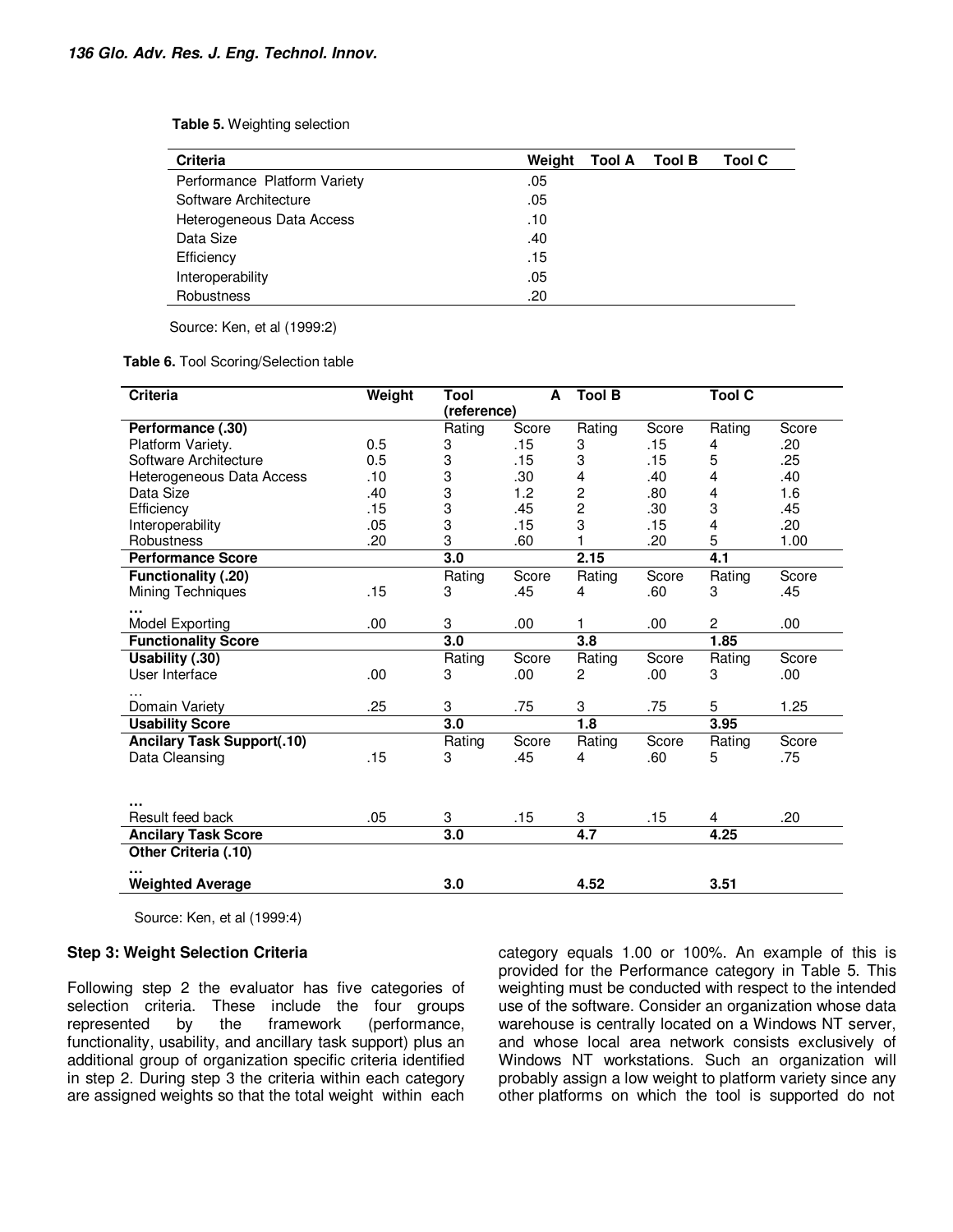**Table 5.** Weighting selection

| <b>Criteria</b>              | Weight | Tool A | Tool B | <b>Tool C</b> |
|------------------------------|--------|--------|--------|---------------|
| Performance Platform Variety | .05    |        |        |               |
| Software Architecture        | .05    |        |        |               |
| Heterogeneous Data Access    | .10    |        |        |               |
| Data Size                    | .40    |        |        |               |
| Efficiency                   | .15    |        |        |               |
| Interoperability             | .05    |        |        |               |
| Robustness                   | .20    |        |        |               |

Source: Ken, et al (1999:2)

#### **Table 6.** Tool Scoring/Selection table

| <b>Criteria</b>                   | Weight | <b>Tool</b> | A     | <b>Tool B</b>    |       | <b>Tool C</b>  |       |
|-----------------------------------|--------|-------------|-------|------------------|-------|----------------|-------|
|                                   |        | (reference) |       |                  |       |                |       |
| Performance (.30)                 |        | Rating      | Score | Rating           | Score | Rating         | Score |
| Platform Variety.                 | 0.5    | 3           | .15   | 3                | .15   | 4              | .20   |
| Software Architecture             | 0.5    | 3           | .15   | 3                | .15   | 5              | .25   |
| Heterogeneous Data Access         | .10    | 3           | .30   | 4                | .40   | 4              | .40   |
| Data Size                         | .40    | 3           | 1.2   | 2                | .80   | 4              | 1.6   |
| Efficiency                        | .15    | 3           | .45   | $\overline{c}$   | .30   | 3              | .45   |
| Interoperability                  | .05    | 3           | .15   | 3                | .15   | 4              | .20   |
| Robustness                        | .20    | 3           | .60   |                  | .20   | 5              | 1.00  |
| <b>Performance Score</b>          |        | 3.0         |       | 2.15             |       | 4.1            |       |
| <b>Functionality (.20)</b>        |        | Rating      | Score | Rating           | Score | Rating         | Score |
| Mining Techniques                 | .15    | 3           | .45   | 4                | .60   | 3              | .45   |
|                                   |        |             |       |                  |       |                |       |
| Model Exporting                   | .00    | 3           | .00   | 1                | .00   | $\overline{2}$ | .00.  |
| <b>Functionality Score</b>        |        | 3.0         |       | 3.8              |       | 1.85           |       |
| Usability (.30)                   |        | Rating      | Score | Rating           | Score | Rating         | Score |
| User Interface                    | .00    | 3           | .00   | 2                | .00   | 3              | .00.  |
|                                   |        |             |       |                  |       |                |       |
| Domain Variety                    | .25    | 3           | .75   | 3                | .75   | 5              | 1.25  |
| <b>Usability Score</b>            |        | 3.0         |       | 1.8              |       | 3.95           |       |
| <b>Ancilary Task Support(.10)</b> |        | Rating      | Score | Rating           | Score | Rating         | Score |
| Data Cleansing                    | .15    | 3           | .45   | 4                | .60   | 5              | .75   |
|                                   |        |             |       |                  |       |                |       |
|                                   |        |             |       |                  |       |                |       |
|                                   |        |             |       |                  |       |                |       |
| Result feed back                  | .05    | 3           | .15   | 3                | .15   | 4              | .20   |
| <b>Ancilary Task Score</b>        |        | 3.0         |       | $\overline{4.7}$ |       | 4.25           |       |
| Other Criteria (.10)              |        |             |       |                  |       |                |       |
| <b>Weighted Average</b>           |        | 3.0         |       | 4.52             |       | 3.51           |       |

Source: Ken, et al (1999:4)

#### **Step 3: Weight Selection Criteria**

Following step 2 the evaluator has five categories of selection criteria. These include the four groups represented by the framework (performance, functionality, usability, and ancillary task support) plus an additional group of organization specific criteria identified in step 2. During step 3 the criteria within each category are assigned weights so that the total weight within each

category equals 1.00 or 100%. An example of this is provided for the Performance category in Table 5. This weighting must be conducted with respect to the intended use of the software. Consider an organization whose data warehouse is centrally located on a Windows NT server, and whose local area network consists exclusively of Windows NT workstations. Such an organization will probably assign a low weight to platform variety since any other platforms on which the tool is supported do not